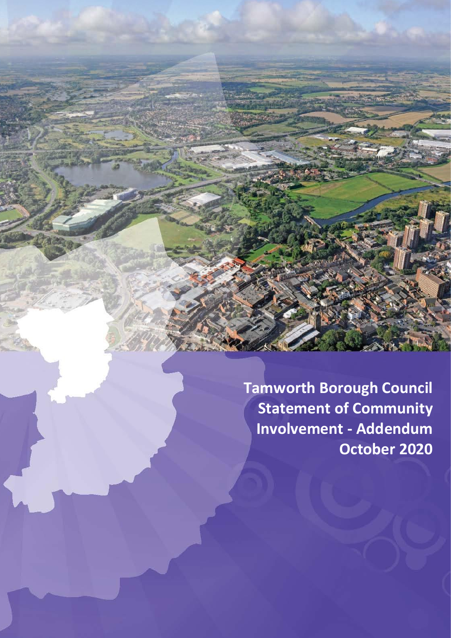**Tamworth Borough Council Statement of Community Involvement - Addendum October 2020**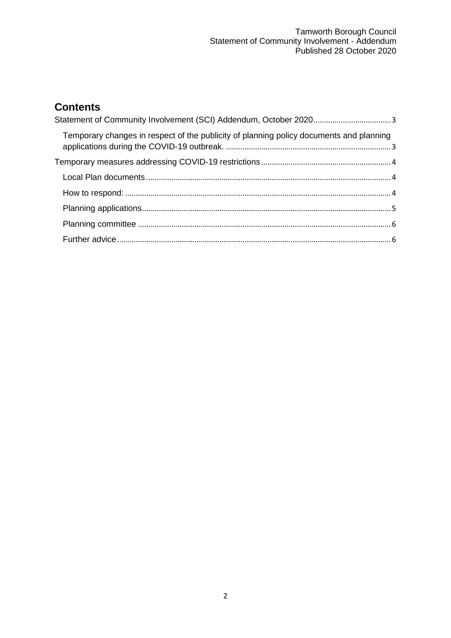# **Contents**

| Temporary changes in respect of the publicity of planning policy documents and planning |  |
|-----------------------------------------------------------------------------------------|--|
|                                                                                         |  |
|                                                                                         |  |
|                                                                                         |  |
|                                                                                         |  |
|                                                                                         |  |
|                                                                                         |  |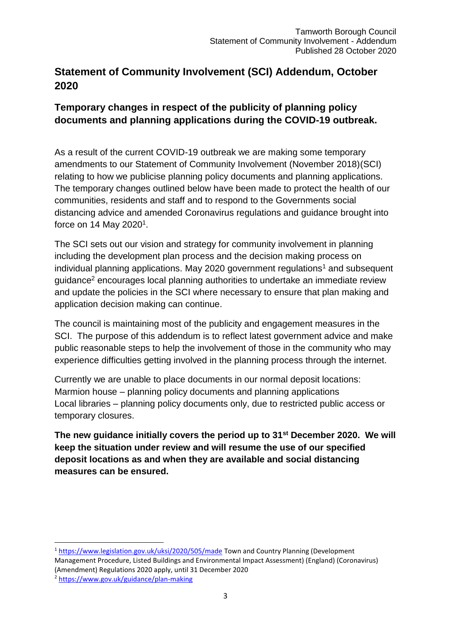# <span id="page-2-0"></span>**Statement of Community Involvement (SCI) Addendum, October 2020**

## <span id="page-2-1"></span>**Temporary changes in respect of the publicity of planning policy documents and planning applications during the COVID-19 outbreak.**

As a result of the current COVID-19 outbreak we are making some temporary amendments to our Statement of Community Involvement (November 2018)(SCI) relating to how we publicise planning policy documents and planning applications. The temporary changes outlined below have been made to protect the health of our communities, residents and staff and to respond to the Governments social distancing advice and amended Coronavirus regulations and guidance brought into force on 14 May 2020<sup>1</sup>.

The SCI sets out our vision and strategy for community involvement in planning including the development plan process and the decision making process on individual planning applications. May 2020 government regulations<sup>1</sup> and subsequent guidance<sup>2</sup> encourages local planning authorities to undertake an immediate review and update the policies in the SCI where necessary to ensure that plan making and application decision making can continue.

The council is maintaining most of the publicity and engagement measures in the SCI. The purpose of this addendum is to reflect latest government advice and make public reasonable steps to help the involvement of those in the community who may experience difficulties getting involved in the planning process through the internet.

Currently we are unable to place documents in our normal deposit locations: Marmion house – planning policy documents and planning applications Local libraries – planning policy documents only, due to restricted public access or temporary closures.

**The new guidance initially covers the period up to 31st December 2020. We will keep the situation under review and will resume the use of our specified deposit locations as and when they are available and social distancing measures can be ensured.**

1

<sup>&</sup>lt;sup>1</sup> <https://www.legislation.gov.uk/uksi/2020/505/made> Town and Country Planning (Development Management Procedure, Listed Buildings and Environmental Impact Assessment) (England) (Coronavirus) (Amendment) Regulations 2020 apply, until 31 December 2020 <sup>2</sup> <https://www.gov.uk/guidance/plan-making>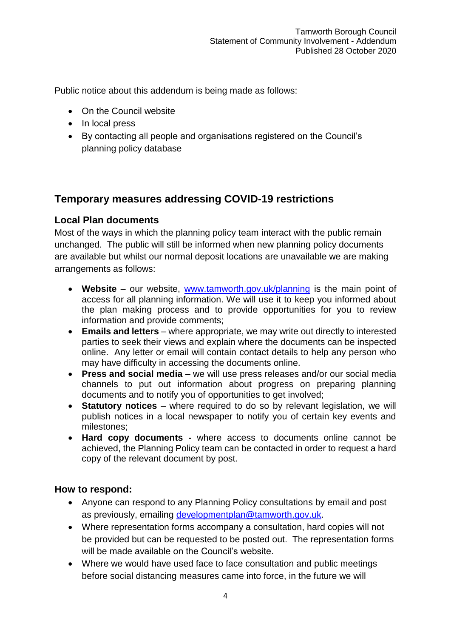Public notice about this addendum is being made as follows:

- On the Council website
- In local press
- By contacting all people and organisations registered on the Council's planning policy database

## <span id="page-3-0"></span>**Temporary measures addressing COVID-19 restrictions**

### <span id="page-3-1"></span>**Local Plan documents**

Most of the ways in which the planning policy team interact with the public remain unchanged. The public will still be informed when new planning policy documents are available but whilst our normal deposit locations are unavailable we are making arrangements as follows:

- **Website** our website, [www.tamworth.gov.uk/planning](http://www.tamworth.gov.uk/planning) is the main point of access for all planning information. We will use it to keep you informed about the plan making process and to provide opportunities for you to review information and provide comments;
- **Emails and letters** where appropriate, we may write out directly to interested parties to seek their views and explain where the documents can be inspected online. Any letter or email will contain contact details to help any person who may have difficulty in accessing the documents online.
- **Press and social media** we will use press releases and/or our social media channels to put out information about progress on preparing planning documents and to notify you of opportunities to get involved;
- **Statutory notices** where required to do so by relevant legislation, we will publish notices in a local newspaper to notify you of certain key events and milestones;
- **Hard copy documents -** where access to documents online cannot be achieved, the Planning Policy team can be contacted in order to request a hard copy of the relevant document by post.

#### <span id="page-3-2"></span>**How to respond:**

- Anyone can respond to any Planning Policy consultations by email and post as previously, emailing [developmentplan@tamworth.gov.uk.](mailto:developmentplan@tamworth.gov.uk)
- Where representation forms accompany a consultation, hard copies will not be provided but can be requested to be posted out. The representation forms will be made available on the Council's website.
- Where we would have used face to face consultation and public meetings before social distancing measures came into force, in the future we will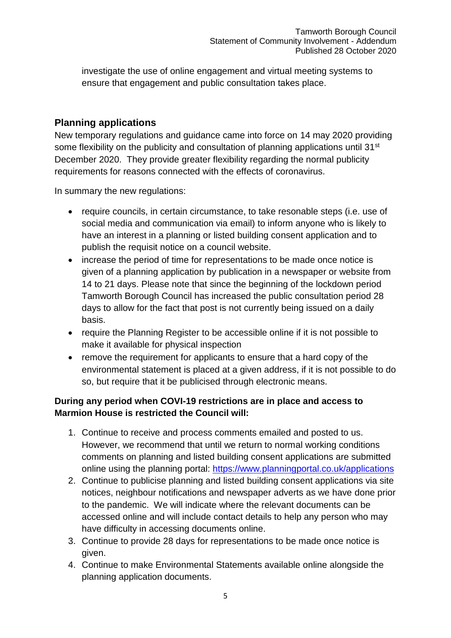investigate the use of online engagement and virtual meeting systems to ensure that engagement and public consultation takes place.

## <span id="page-4-0"></span>**Planning applications**

New temporary regulations and guidance came into force on 14 may 2020 providing some flexibility on the publicity and consultation of planning applications until 31<sup>st</sup> December 2020. They provide greater flexibility regarding the normal publicity requirements for reasons connected with the effects of coronavirus.

In summary the new regulations:

- require councils, in certain circumstance, to take resonable steps (i.e. use of social media and communication via email) to inform anyone who is likely to have an interest in a planning or listed building consent application and to publish the requisit notice on a council website.
- increase the period of time for representations to be made once notice is given of a planning application by publication in a newspaper or website from 14 to 21 days. Please note that since the beginning of the lockdown period Tamworth Borough Council has increased the public consultation period 28 days to allow for the fact that post is not currently being issued on a daily basis.
- require the Planning Register to be accessible online if it is not possible to make it available for physical inspection
- remove the requirement for applicants to ensure that a hard copy of the environmental statement is placed at a given address, if it is not possible to do so, but require that it be publicised through electronic means.

## **During any period when COVI-19 restrictions are in place and access to Marmion House is restricted the Council will:**

- 1. Continue to receive and process comments emailed and posted to us. However, we recommend that until we return to normal working conditions comments on planning and listed building consent applications are submitted online using the planning portal:<https://www.planningportal.co.uk/applications>
- 2. Continue to publicise planning and listed building consent applications via site notices, neighbour notifications and newspaper adverts as we have done prior to the pandemic. We will indicate where the relevant documents can be accessed online and will include contact details to help any person who may have difficulty in accessing documents online.
- 3. Continue to provide 28 days for representations to be made once notice is given.
- 4. Continue to make Environmental Statements available online alongside the planning application documents.